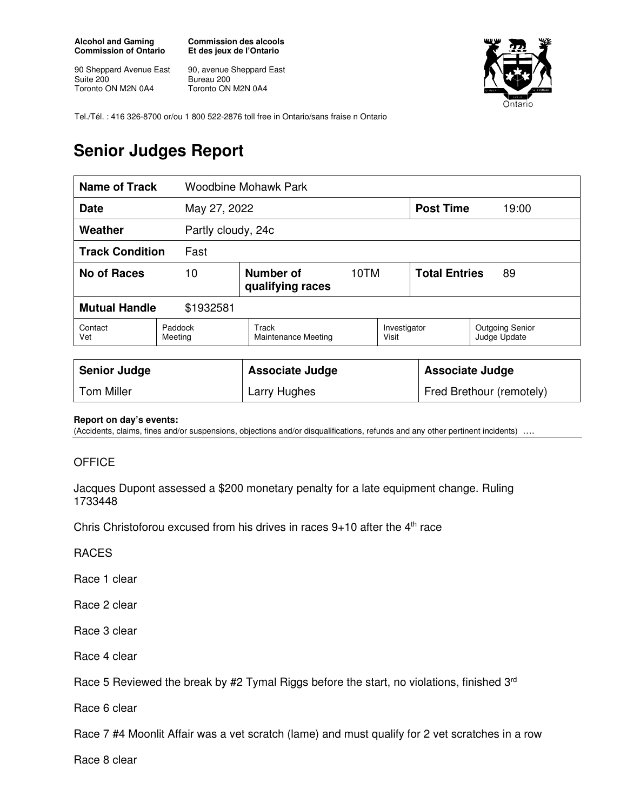**Alcohol and Gaming Commission of Ontario** 

90 Sheppard Avenue East Suite 200 Toronto ON M2N 0A4

**Commission des alcools Et des jeux de l'Ontario** 

90, avenue Sheppard East Bureau 200 Toronto ON M2N 0A4



Tel./Tél. : 416 326-8700 or/ou 1 800 522-2876 toll free in Ontario/sans fraise n Ontario

## **Senior Judges Report**

| <b>Name of Track</b>              |                    | <b>Woodbine Mohawk Park</b>                  |      |              |                            |                                        |  |
|-----------------------------------|--------------------|----------------------------------------------|------|--------------|----------------------------|----------------------------------------|--|
| <b>Date</b>                       |                    | May 27, 2022                                 |      |              | <b>Post Time</b>           | 19:00                                  |  |
| Weather                           |                    | Partly cloudy, 24c                           |      |              |                            |                                        |  |
| <b>Track Condition</b><br>Fast    |                    |                                              |      |              |                            |                                        |  |
| No of Races                       | 10                 | Number of<br>qualifying races                | 10TM |              | <b>Total Entries</b><br>89 |                                        |  |
| <b>Mutual Handle</b><br>\$1932581 |                    |                                              |      |              |                            |                                        |  |
| Contact<br>Vet                    | Paddock<br>Meeting | Track<br>Visit<br><b>Maintenance Meeting</b> |      | Investigator |                            | <b>Outgoing Senior</b><br>Judge Update |  |
|                                   |                    |                                              |      |              |                            |                                        |  |

| <b>Senior Judge</b> | <b>Associate Judge</b> | <b>Associate Judge</b>   |
|---------------------|------------------------|--------------------------|
| <b>Tom Miller</b>   | Larry Hughes           | Fred Brethour (remotely) |

## **Report on day's events:**

(Accidents, claims, fines and/or suspensions, objections and/or disqualifications, refunds and any other pertinent incidents) ….

## **OFFICE**

Jacques Dupont assessed a \$200 monetary penalty for a late equipment change. Ruling 1733448

Chris Christoforou excused from his drives in races  $9+10$  after the  $4<sup>th</sup>$  race

RACES

Race 1 clear

Race 2 clear

Race 3 clear

Race 4 clear

Race 5 Reviewed the break by #2 Tymal Riggs before the start, no violations, finished 3<sup>rd</sup>

Race 6 clear

Race 7 #4 Moonlit Affair was a vet scratch (lame) and must qualify for 2 vet scratches in a row

Race 8 clear